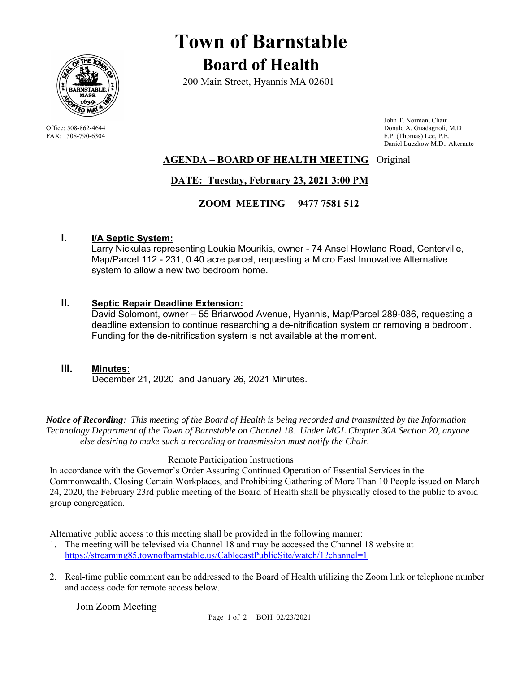

# **Town of Barnstable Board of Health**

200 Main Street, Hyannis MA 02601

 John T. Norman, Chair Office: 508-862-4644 Donald A. Guadagnoli, M.D FAX: 508-790-6304 F.P. (Thomas) Lee, P.E. Daniel Luczkow M.D., Alternate

## **AGENDA – BOARD OF HEALTH MEETING** Original

# **DATE: Tuesday, February 23, 2021 3:00 PM**

### **ZOOM MEETING 9477 7581 512**

### **I. I/A Septic System:**

Larry Nickulas representing Loukia Mourikis, owner - 74 Ansel Howland Road, Centerville, Map/Parcel 112 - 231, 0.40 acre parcel, requesting a Micro Fast Innovative Alternative system to allow a new two bedroom home.

#### **II. Septic Repair Deadline Extension:**

David Solomont, owner – 55 Briarwood Avenue, Hyannis, Map/Parcel 289-086, requesting a deadline extension to continue researching a de-nitrification system or removing a bedroom. Funding for the de-nitrification system is not available at the moment.

#### **III. Minutes:**

December 21, 2020 and January 26, 2021 Minutes.

*Notice of Recording: This meeting of the Board of Health is being recorded and transmitted by the Information Technology Department of the Town of Barnstable on Channel 18. Under MGL Chapter 30A Section 20, anyone else desiring to make such a recording or transmission must notify the Chair.* 

#### Remote Participation Instructions

In accordance with the Governor's Order Assuring Continued Operation of Essential Services in the Commonwealth, Closing Certain Workplaces, and Prohibiting Gathering of More Than 10 People issued on March 24, 2020, the February 23rd public meeting of the Board of Health shall be physically closed to the public to avoid group congregation.

Alternative public access to this meeting shall be provided in the following manner:

- 1. The meeting will be televised via Channel 18 and may be accessed the Channel 18 website at https://streaming85.townofbarnstable.us/CablecastPublicSite/watch/1?channel=1
- 2. Real-time public comment can be addressed to the Board of Health utilizing the Zoom link or telephone number and access code for remote access below.

Join Zoom Meeting